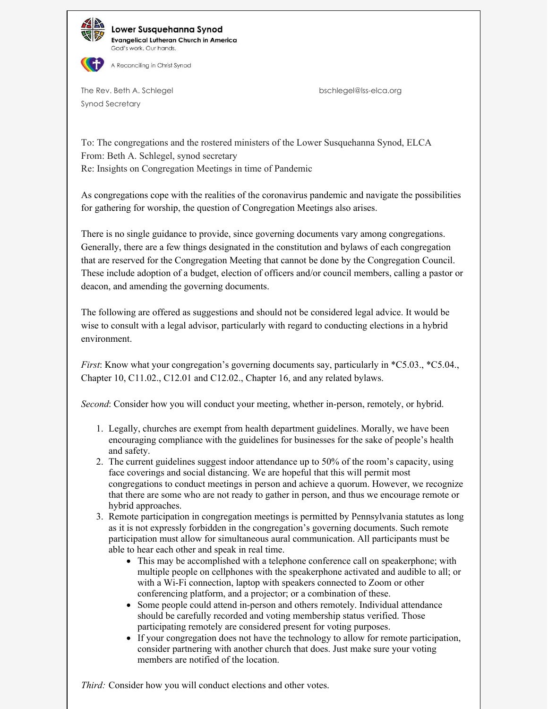

Lower Susquehanna Synod **Evangelical Lutheran Church in America** God's work, Our hands.



The Rev. Beth A. Schlegel bschlegel@lss-elca.org Synod Secretary

To: The congregations and the rostered ministers of the Lower Susquehanna Synod, ELCA From: Beth A. Schlegel, synod secretary Re: Insights on Congregation Meetings in time of Pandemic

As congregations cope with the realities of the coronavirus pandemic and navigate the possibilities for gathering for worship, the question of Congregation Meetings also arises.

There is no single guidance to provide, since governing documents vary among congregations. Generally, there are a few things designated in the constitution and bylaws of each congregation that are reserved for the Congregation Meeting that cannot be done by the Congregation Council. These include adoption of a budget, election of officers and/or council members, calling a pastor or deacon, and amending the governing documents.

The following are offered as suggestions and should not be considered legal advice. It would be wise to consult with a legal advisor, particularly with regard to conducting elections in a hybrid environment.

*First*: Know what your congregation's governing documents say, particularly in \*C5.03., \*C5.04., Chapter 10, C11.02., C12.01 and C12.02., Chapter 16, and any related bylaws.

*Second*: Consider how you will conduct your meeting, whether in-person, remotely, or hybrid.

- 1. Legally, churches are exempt from health department guidelines. Morally, we have been encouraging compliance with the guidelines for businesses for the sake of people's health and safety.
- 2. The current guidelines suggest indoor attendance up to 50% of the room's capacity, using face coverings and social distancing. We are hopeful that this will permit most congregations to conduct meetings in person and achieve a quorum. However, we recognize that there are some who are not ready to gather in person, and thus we encourage remote or hybrid approaches.
- 3. Remote participation in congregation meetings is permitted by Pennsylvania statutes as long as it is not expressly forbidden in the congregation's governing documents. Such remote participation must allow for simultaneous aural communication. All participants must be able to hear each other and speak in real time.
	- This may be accomplished with a telephone conference call on speakerphone; with multiple people on cellphones with the speakerphone activated and audible to all; or with a Wi-Fi connection, laptop with speakers connected to Zoom or other conferencing platform, and a projector; or a combination of these.
	- Some people could attend in-person and others remotely. Individual attendance should be carefully recorded and voting membership status verified. Those participating remotely are considered present for voting purposes.
	- If your congregation does not have the technology to allow for remote participation, consider partnering with another church that does. Just make sure your voting members are notified of the location.

*Third:* Consider how you will conduct elections and other votes.